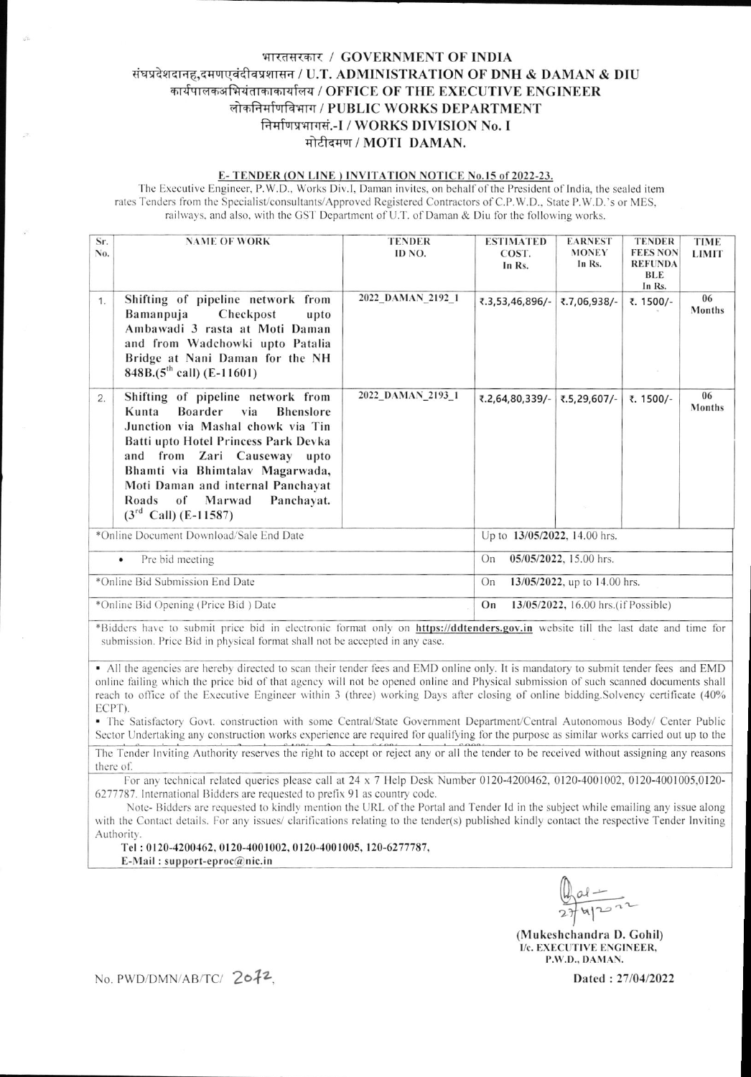# भारतसरकार / GOVERNMENT OF INDIA संघप्रदेशदानह,दमणएवंदीवप्रशासन / U.T. ADMINISTRATION OF DNH & DAMAN & DIU कार्यपालकअभियंताकाकार्यालय / OFFICE OF THE EXECUTIVE ENGINEER लोकनिर्माणविभाग / PUBLIC WORKS DEPARTMENT निर्माणप्रभागसं.-I / WORKS DIVISION No. I मोटीदमण / MOTI DAMAN.

### E-TENDER (ON LINE) INVITATION NOTICE No.15 of 2022-23.

The Executive Engineer, P.W.D., Works Div.I, Daman invites, on behalf of the President of India, the sealed item rates Tenders from the Specialist/consultants/Approved Registered Contractors of C.P.W.D., State P.W.D.'s or MES. railways, and also, with the GST Department of U.T. of Daman & Diu for the following works.

| Sr.<br>No.                              | <b>NAME OF WORK</b>                                                                                                                                                                                                                                                                                                             | <b>TENDER</b><br>ID NO. | <b>ESTIMATED</b><br>COST.<br>In Rs.       | <b>EARNEST</b><br><b>MONEY</b><br>In Rs. | <b>TENDER</b><br><b>FEES NON</b><br><b>REFUNDA</b><br><b>BLE</b><br>In Rs. | <b>TIME</b><br><b>LIMIT</b> |  |
|-----------------------------------------|---------------------------------------------------------------------------------------------------------------------------------------------------------------------------------------------------------------------------------------------------------------------------------------------------------------------------------|-------------------------|-------------------------------------------|------------------------------------------|----------------------------------------------------------------------------|-----------------------------|--|
| 1.                                      | Shifting of pipeline network from<br>Bamanpuja<br>Checkpost<br>upto<br>Ambawadi 3 rasta at Moti Daman<br>and from Wadchowki upto Patalia<br>Bridge at Nani Daman for the NH<br>$848B.(5th$ call) (E-11601)                                                                                                                      | 2022_DAMAN_2192_1       | ₹.3,53,46,896/-                           | ₹.7,06,938/-                             | ₹. 1500/-                                                                  | 06<br><b>Months</b>         |  |
| 2.                                      | Shifting of pipeline network from<br>Boarder<br>Kunta<br>via<br><b>Bhenslore</b><br>Junction via Mashal chowk via Tin<br>Batti upto Hotel Princess Park Devka<br>and from Zari Causeway upto<br>Bhamti via Bhimtalav Magarwada,<br>Moti Daman and internal Panchayat<br>Panchayat.<br>Roads of Marwad<br>$(3rd$ Call) (E-11587) | 2022_DAMAN_2193_1       | ₹.2,64,80,339/-                           | ₹.5,29,607/-                             | ₹. 1500/-                                                                  | 06<br><b>Months</b>         |  |
| *Online Document Download/Sale End Date |                                                                                                                                                                                                                                                                                                                                 |                         | Up to 13/05/2022, 14.00 hrs.              |                                          |                                                                            |                             |  |
| Pre bid meeting<br>$\bullet$            |                                                                                                                                                                                                                                                                                                                                 |                         | 05/05/2022, 15.00 hrs.<br>On              |                                          |                                                                            |                             |  |
| *Online Bid Submission End Date         |                                                                                                                                                                                                                                                                                                                                 |                         | 13/05/2022, up to 14.00 hrs.<br>On        |                                          |                                                                            |                             |  |
| *Online Bid Opening (Price Bid) Date    |                                                                                                                                                                                                                                                                                                                                 |                         | On<br>13/05/2022, 16.00 hrs.(if Possible) |                                          |                                                                            |                             |  |

\*Bidders have to submit price bid in electronic format only on https://ddtenders.gov.in website till the last date and time for submission. Price Bid in physical format shall not be accepted in any case.

• All the agencies are hereby directed to scan their tender fees and EMD online only. It is mandatory to submit tender fees and EMD online failing which the price bid of that agency will not be opened online and Physical submission of such scanned documents shall reach to office of the Executive Engineer within 3 (three) working Days after closing of online bidding.Solvency certificate (40% ECPT)

· The Satisfactory Govt. construction with some Central/State Government Department/Central Autonomous Body/ Center Public Sector Undertaking any construction works experience are required for qualifying for the purpose as similar works carried out up to the

The Tender Inviting Authority reserves the right to accept or reject any or all the tender to be received without assigning any reasons there of.

For any technical related queries please call at  $24 \times 7$  Help Desk Number 0120-4200462, 0120-4001002, 0120-4001005,0120-6277787. International Bidders are requested to prefix 91 as country code.

Note-Bidders are requested to kindly mention the URL of the Portal and Tender Id in the subject while emailing any issue along with the Contact details. For any issues/ clarifications relating to the tender(s) published kindly contact the respective Tender Inviting Authority.

Tel: 0120-4200462, 0120-4001002, 0120-4001005, 120-6277787,

E-Mail: support-eproc@nic.in

 $41222$ 

(Mukeshchandra D. Gohil) I/c. EXECUTIVE ENGINEER, P.W.D., DAMAN.

No. PWD/DMN/AB/TC/ 2072,

Dated: 27/04/2022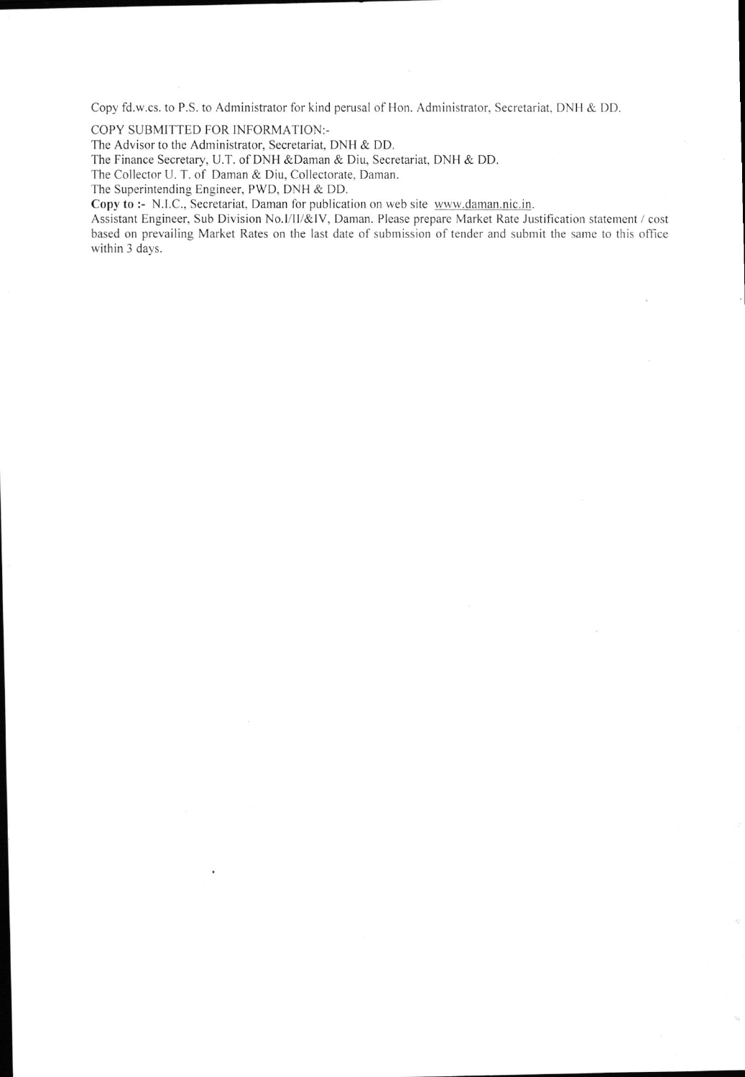Copy fd.w.cs. to P.S. to Administrator for kind perusal of Hon. Administrator, Secretariat. DNH & DD.

COPY SUBMITTED FOR INFORMATION:-

The Advisor to the Administrator, Secretariat, DNH & DD.

The Finance Secretary, U.T. of DNH &Daman & Diu, Secretariat, DNH & DD.

The Collector U. T. of Daman & Diu, Collectorate, Daman.

The Superintending Engineer, PWD, DNH & DD.

Copy to :- N.l.C., Secretariat, Daman for publication on web site www.daman.nic. in.

Assistant Engineer, Sub Division No.I/II/&IV, Daman. Please prepare Market Rate Justification statement / cost based on prevailing Market Rates on the last date of submission of tender and submit the same to this office within 3 days.